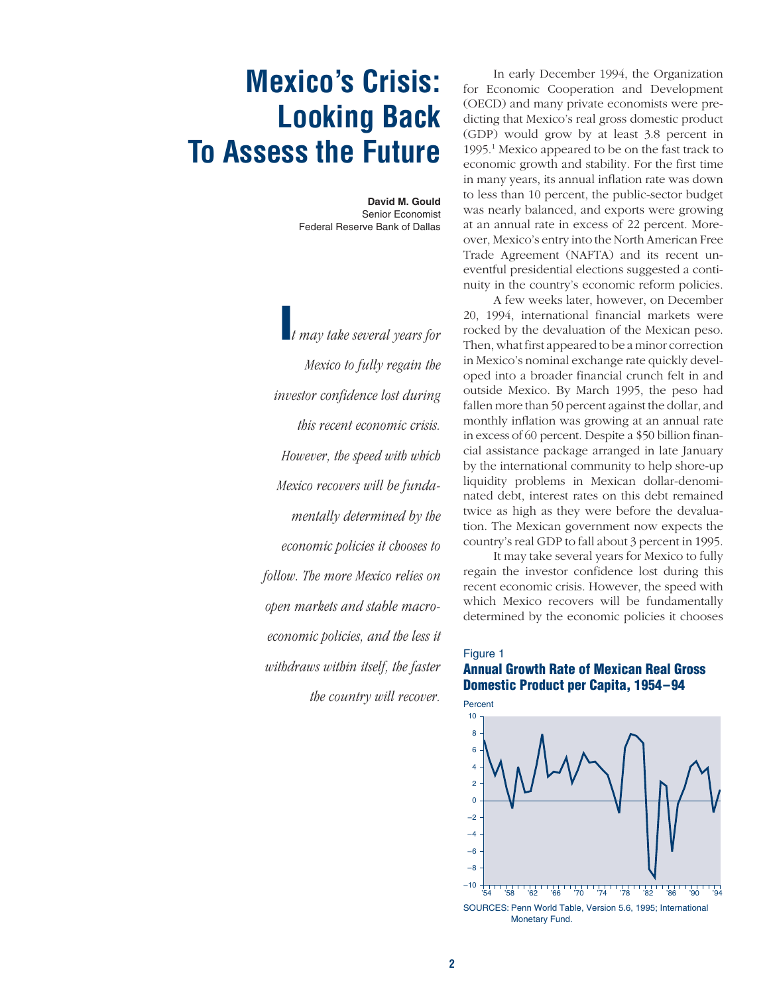# **Mexico's Crisis: Looking Back To Assess the Future**

**David M. Gould** Senior Economist Federal Reserve Bank of Dallas

**I***t may take several years for Mexico to fully regain the investor confidence lost during this recent economic crisis. However, the speed with which Mexico recovers will be fundamentally determined by the economic policies it chooses to follow. The more Mexico relies on open markets and stable macroeconomic policies, and the less it withdraws within itself, the faster the country will recover.*

In early December 1994, the Organization for Economic Cooperation and Development (OECD) and many private economists were predicting that Mexico's real gross domestic product (GDP) would grow by at least 3.8 percent in 1995.1 Mexico appeared to be on the fast track to economic growth and stability. For the first time in many years, its annual inflation rate was down to less than 10 percent, the public-sector budget was nearly balanced, and exports were growing at an annual rate in excess of 22 percent. Moreover, Mexico's entry into the North American Free Trade Agreement (NAFTA) and its recent uneventful presidential elections suggested a continuity in the country's economic reform policies.

A few weeks later, however, on December 20, 1994, international financial markets were rocked by the devaluation of the Mexican peso. Then, what first appeared to be a minor correction in Mexico's nominal exchange rate quickly developed into a broader financial crunch felt in and outside Mexico. By March 1995, the peso had fallen more than 50 percent against the dollar, and monthly inflation was growing at an annual rate in excess of 60 percent. Despite a \$50 billion financial assistance package arranged in late January by the international community to help shore-up liquidity problems in Mexican dollar-denominated debt, interest rates on this debt remained twice as high as they were before the devaluation. The Mexican government now expects the country's real GDP to fall about 3 percent in 1995.

It may take several years for Mexico to fully regain the investor confidence lost during this recent economic crisis. However, the speed with which Mexico recovers will be fundamentally determined by the economic policies it chooses

# Figure 1 **Annual Growth Rate of Mexican Real Gross Domestic Product per Capita, 1954–94**

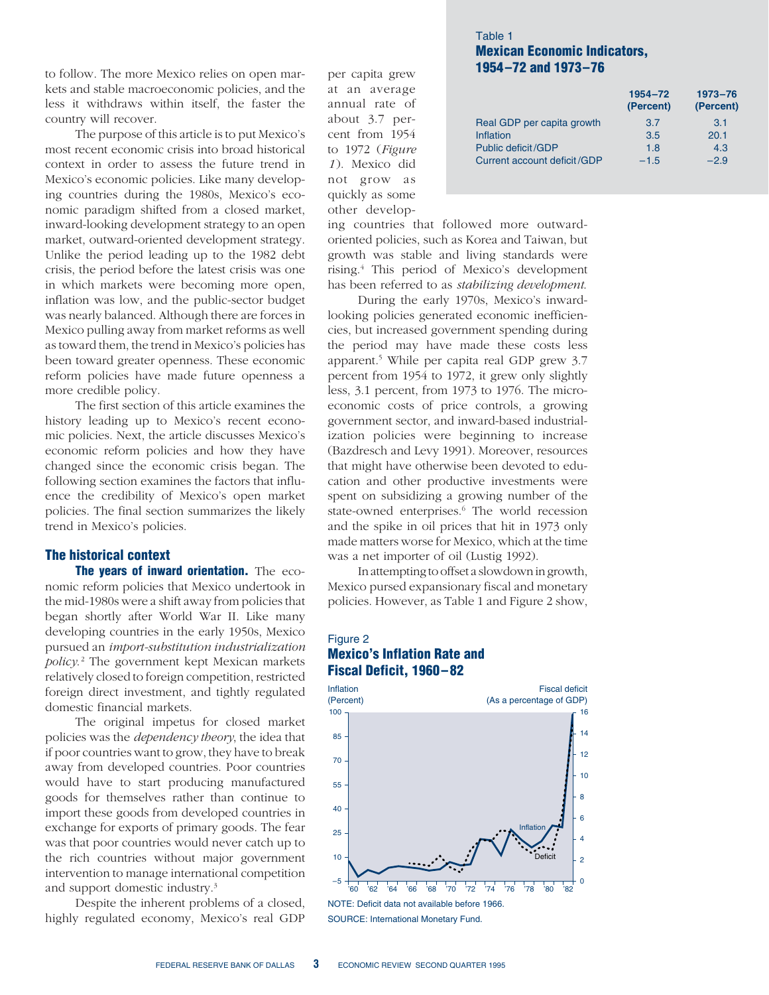to follow. The more Mexico relies on open markets and stable macroeconomic policies, and the less it withdraws within itself, the faster the country will recover.

The purpose of this article is to put Mexico's most recent economic crisis into broad historical context in order to assess the future trend in Mexico's economic policies. Like many developing countries during the 1980s, Mexico's economic paradigm shifted from a closed market, inward-looking development strategy to an open market, outward-oriented development strategy. Unlike the period leading up to the 1982 debt crisis, the period before the latest crisis was one in which markets were becoming more open, inflation was low, and the public-sector budget was nearly balanced. Although there are forces in Mexico pulling away from market reforms as well as toward them, the trend in Mexico's policies has been toward greater openness. These economic reform policies have made future openness a more credible policy.

The first section of this article examines the history leading up to Mexico's recent economic policies. Next, the article discusses Mexico's economic reform policies and how they have changed since the economic crisis began. The following section examines the factors that influence the credibility of Mexico's open market policies. The final section summarizes the likely trend in Mexico's policies.

#### **The historical context**

**The years of inward orientation.** The economic reform policies that Mexico undertook in the mid-1980s were a shift away from policies that began shortly after World War II. Like many developing countries in the early 1950s, Mexico pursued an *import-substitution industrialization policy*. <sup>2</sup> The government kept Mexican markets relatively closed to foreign competition, restricted foreign direct investment, and tightly regulated domestic financial markets.

The original impetus for closed market policies was the *dependency theory*, the idea that if poor countries want to grow, they have to break away from developed countries. Poor countries would have to start producing manufactured goods for themselves rather than continue to import these goods from developed countries in exchange for exports of primary goods. The fear was that poor countries would never catch up to the rich countries without major government intervention to manage international competition and support domestic industry.3

Despite the inherent problems of a closed, highly regulated economy, Mexico's real GDP

per capita grew at an average annual rate of about 3.7 percent from 1954 to 1972 (*Figure 1*). Mexico did not grow as quickly as some other develop-

# Table 1 **Mexican Economic Indicators, 1954–72 and 1973–76**

| 1954-72<br>(Percent) | $1973 - 76$<br>(Percent) |
|----------------------|--------------------------|
| 3.7                  | 3.1                      |
| 3.5                  | 20.1                     |
| 1.8                  | 4.3                      |
| $-1.5$               | $-2.9$                   |
|                      |                          |

ing countries that followed more outwardoriented policies, such as Korea and Taiwan, but growth was stable and living standards were rising.4 This period of Mexico's development has been referred to as *stabilizing development*.

During the early 1970s, Mexico's inwardlooking policies generated economic inefficiencies, but increased government spending during the period may have made these costs less apparent.5 While per capita real GDP grew 3.7 percent from 1954 to 1972, it grew only slightly less, 3.1 percent, from 1973 to 1976. The microeconomic costs of price controls, a growing government sector, and inward-based industrialization policies were beginning to increase (Bazdresch and Levy 1991). Moreover, resources that might have otherwise been devoted to education and other productive investments were spent on subsidizing a growing number of the state-owned enterprises.<sup>6</sup> The world recession and the spike in oil prices that hit in 1973 only made matters worse for Mexico, which at the time was a net importer of oil (Lustig 1992).

In attempting to offset a slowdown in growth, Mexico pursed expansionary fiscal and monetary policies. However, as Table 1 and Figure 2 show,

# Figure 2 **Mexico's Inflation Rate and Fiscal Deficit, 1960–82**



SOURCE: International Monetary Fund.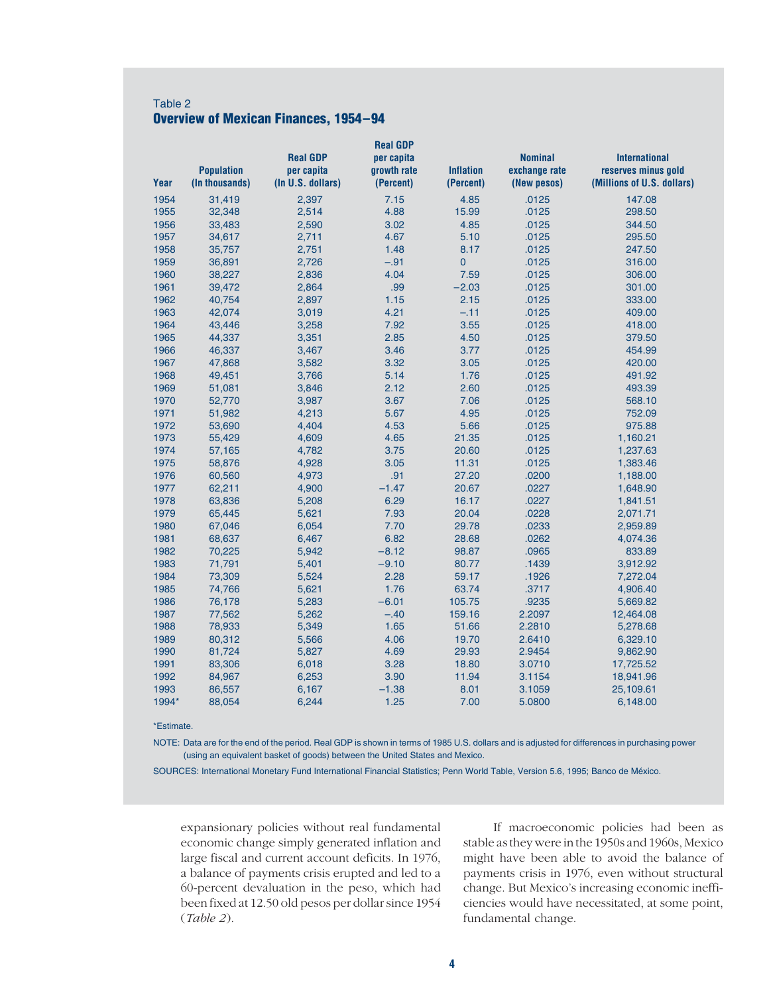# Table 2 **Overview of Mexican Finances, 1954–94**

|       |                                     |                                 | <b>Real GDP</b>          |                               |                              |                                                   |
|-------|-------------------------------------|---------------------------------|--------------------------|-------------------------------|------------------------------|---------------------------------------------------|
|       |                                     | <b>Real GDP</b>                 | per capita               |                               | <b>Nominal</b>               | <b>International</b>                              |
| Year  | <b>Population</b><br>(In thousands) | per capita<br>(In U.S. dollars) | growth rate<br>(Percent) | <b>Inflation</b><br>(Percent) | exchange rate<br>(New pesos) | reserves minus gold<br>(Millions of U.S. dollars) |
|       |                                     |                                 |                          |                               |                              |                                                   |
| 1954  | 31,419                              | 2,397                           | 7.15                     | 4.85                          | .0125                        | 147.08                                            |
| 1955  | 32,348                              | 2,514                           | 4.88                     | 15.99                         | .0125                        | 298.50                                            |
| 1956  | 33,483                              | 2,590                           | 3.02                     | 4.85                          | .0125                        | 344.50                                            |
| 1957  | 34,617                              | 2,711                           | 4.67                     | 5.10                          | .0125                        | 295.50                                            |
| 1958  | 35,757                              | 2,751                           | 1.48                     | 8.17                          | .0125                        | 247.50                                            |
| 1959  | 36,891                              | 2,726                           | $-.91$                   | 0                             | .0125                        | 316.00                                            |
| 1960  | 38,227                              | 2,836                           | 4.04                     | 7.59                          | .0125                        | 306.00                                            |
| 1961  | 39,472                              | 2,864                           | .99                      | $-2.03$                       | .0125                        | 301.00                                            |
| 1962  | 40,754                              | 2,897                           | 1.15                     | 2.15                          | .0125                        | 333.00                                            |
| 1963  | 42,074                              | 3,019                           | 4.21                     | $-.11$                        | .0125                        | 409.00                                            |
| 1964  | 43,446                              | 3,258                           | 7.92                     | 3.55                          | .0125                        | 418.00                                            |
| 1965  | 44,337                              | 3,351                           | 2.85                     | 4.50                          | .0125                        | 379.50                                            |
| 1966  | 46,337                              | 3,467                           | 3.46                     | 3.77                          | .0125                        | 454.99                                            |
| 1967  | 47,868                              | 3,582                           | 3.32                     | 3.05                          | .0125                        | 420.00                                            |
| 1968  | 49,451                              | 3,766                           | 5.14                     | 1.76                          | .0125                        | 491.92                                            |
| 1969  | 51,081                              | 3,846                           | 2.12                     | 2.60                          | .0125                        | 493.39                                            |
| 1970  | 52,770                              | 3,987                           | 3.67                     | 7.06                          | .0125                        | 568.10                                            |
| 1971  | 51,982                              | 4,213                           | 5.67                     | 4.95                          | .0125                        | 752.09                                            |
| 1972  | 53,690                              | 4,404                           | 4.53                     | 5.66                          | .0125                        | 975.88                                            |
| 1973  | 55,429                              | 4,609                           | 4.65                     | 21.35                         | .0125                        | 1,160.21                                          |
| 1974  | 57,165                              | 4,782                           | 3.75                     | 20.60                         | .0125                        | 1,237.63                                          |
| 1975  | 58,876                              | 4,928                           | 3.05                     | 11.31                         | .0125                        | 1,383.46                                          |
| 1976  | 60,560                              | 4,973                           | .91                      | 27.20                         | .0200                        | 1,188.00                                          |
| 1977  | 62,211                              | 4,900                           | $-1.47$                  | 20.67                         | .0227                        | 1,648.90                                          |
| 1978  | 63,836                              | 5,208                           | 6.29                     | 16.17                         | .0227                        | 1,841.51                                          |
| 1979  | 65,445                              | 5,621                           | 7.93                     | 20.04                         | .0228                        | 2,071.71                                          |
| 1980  | 67,046                              | 6,054                           | 7.70                     | 29.78                         | .0233                        | 2,959.89                                          |
| 1981  | 68,637                              | 6,467                           | 6.82                     | 28.68                         | .0262                        | 4,074.36                                          |
| 1982  | 70,225                              | 5,942                           | $-8.12$                  | 98.87                         | .0965                        | 833.89                                            |
| 1983  | 71,791                              | 5,401                           | $-9.10$                  | 80.77                         | .1439                        | 3,912.92                                          |
| 1984  | 73,309                              | 5,524                           | 2.28                     | 59.17                         | .1926                        | 7,272.04                                          |
| 1985  | 74,766                              | 5,621                           | 1.76                     | 63.74                         | .3717                        | 4,906.40                                          |
| 1986  | 76,178                              | 5,283                           | $-6.01$                  | 105.75                        | .9235                        | 5,669.82                                          |
| 1987  | 77,562                              | 5,262                           | $-.40$                   | 159.16                        | 2.2097                       | 12,464.08                                         |
| 1988  | 78,933                              | 5,349                           | 1.65                     | 51.66                         | 2.2810                       | 5,278.68                                          |
| 1989  | 80,312                              | 5,566                           | 4.06                     | 19.70                         | 2.6410                       | 6,329.10                                          |
| 1990  | 81,724                              | 5,827                           | 4.69                     | 29.93                         | 2.9454                       | 9,862.90                                          |
| 1991  | 83,306                              | 6,018                           | 3.28                     | 18.80                         | 3.0710                       | 17,725.52                                         |
| 1992  | 84,967                              | 6,253                           | 3.90                     | 11.94                         | 3.1154                       | 18,941.96                                         |
| 1993  | 86,557                              | 6,167                           | $-1.38$                  | 8.01                          | 3.1059                       | 25,109.61                                         |
| 1994* | 88,054                              | 6,244                           | 1.25                     | 7.00                          | 5.0800                       | 6,148.00                                          |
|       |                                     |                                 |                          |                               |                              |                                                   |

\*Estimate.

NOTE: Data are for the end of the period. Real GDP is shown in terms of 1985 U.S. dollars and is adjusted for differences in purchasing power (using an equivalent basket of goods) between the United States and Mexico.

SOURCES: International Monetary Fund International Financial Statistics; Penn World Table, Version 5.6, 1995; Banco de México.

expansionary policies without real fundamental economic change simply generated inflation and large fiscal and current account deficits. In 1976, a balance of payments crisis erupted and led to a 60-percent devaluation in the peso, which had been fixed at 12.50 old pesos per dollar since 1954 (*Table 2*).

If macroeconomic policies had been as stable as they were in the 1950s and 1960s, Mexico might have been able to avoid the balance of payments crisis in 1976, even without structural change. But Mexico's increasing economic inefficiencies would have necessitated, at some point, fundamental change.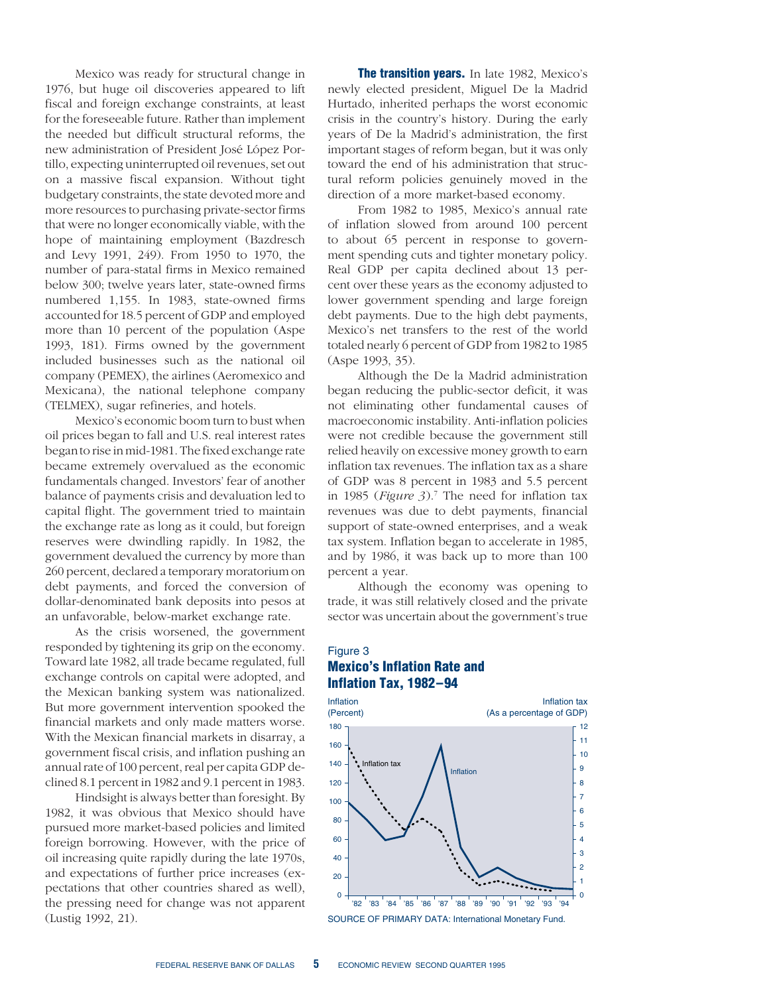Mexico was ready for structural change in 1976, but huge oil discoveries appeared to lift fiscal and foreign exchange constraints, at least for the foreseeable future. Rather than implement the needed but difficult structural reforms, the new administration of President José López Portillo, expecting uninterrupted oil revenues, set out on a massive fiscal expansion. Without tight budgetary constraints, the state devoted more and more resources to purchasing private-sector firms that were no longer economically viable, with the hope of maintaining employment (Bazdresch and Levy 1991, 249). From 1950 to 1970, the number of para-statal firms in Mexico remained below 300; twelve years later, state-owned firms numbered 1,155. In 1983, state-owned firms accounted for 18.5 percent of GDP and employed more than 10 percent of the population (Aspe 1993, 181). Firms owned by the government included businesses such as the national oil company (PEMEX), the airlines (Aeromexico and Mexicana), the national telephone company (TELMEX), sugar refineries, and hotels.

Mexico's economic boom turn to bust when oil prices began to fall and U.S. real interest rates began to rise in mid-1981. The fixed exchange rate became extremely overvalued as the economic fundamentals changed. Investors' fear of another balance of payments crisis and devaluation led to capital flight. The government tried to maintain the exchange rate as long as it could, but foreign reserves were dwindling rapidly. In 1982, the government devalued the currency by more than 260 percent, declared a temporary moratorium on debt payments, and forced the conversion of dollar-denominated bank deposits into pesos at an unfavorable, below-market exchange rate.

As the crisis worsened, the government responded by tightening its grip on the economy. Toward late 1982, all trade became regulated, full exchange controls on capital were adopted, and the Mexican banking system was nationalized. But more government intervention spooked the financial markets and only made matters worse. With the Mexican financial markets in disarray, a government fiscal crisis, and inflation pushing an annual rate of 100 percent, real per capita GDP declined 8.1 percent in 1982 and 9.1 percent in 1983.

Hindsight is always better than foresight. By 1982, it was obvious that Mexico should have pursued more market-based policies and limited foreign borrowing. However, with the price of oil increasing quite rapidly during the late 1970s, and expectations of further price increases (expectations that other countries shared as well), the pressing need for change was not apparent (Lustig 1992, 21).

**The transition years.** In late 1982, Mexico's newly elected president, Miguel De la Madrid Hurtado, inherited perhaps the worst economic crisis in the country's history. During the early years of De la Madrid's administration, the first important stages of reform began, but it was only toward the end of his administration that structural reform policies genuinely moved in the direction of a more market-based economy.

From 1982 to 1985, Mexico's annual rate of inflation slowed from around 100 percent to about 65 percent in response to government spending cuts and tighter monetary policy. Real GDP per capita declined about 13 percent over these years as the economy adjusted to lower government spending and large foreign debt payments. Due to the high debt payments, Mexico's net transfers to the rest of the world totaled nearly 6 percent of GDP from 1982 to 1985 (Aspe 1993, 35).

Although the De la Madrid administration began reducing the public-sector deficit, it was not eliminating other fundamental causes of macroeconomic instability. Anti-inflation policies were not credible because the government still relied heavily on excessive money growth to earn inflation tax revenues. The inflation tax as a share of GDP was 8 percent in 1983 and 5.5 percent in 1985 (*Figure 3*).7 The need for inflation tax revenues was due to debt payments, financial support of state-owned enterprises, and a weak tax system. Inflation began to accelerate in 1985, and by 1986, it was back up to more than 100 percent a year.

Although the economy was opening to trade, it was still relatively closed and the private sector was uncertain about the government's true

# Figure 3 **Mexico's Inflation Rate and Inflation Tax, 1982–94**



FEDERAL RESERVE BANK OF DALLAS **5** ECONOMIC REVIEW SECOND QUARTER 1995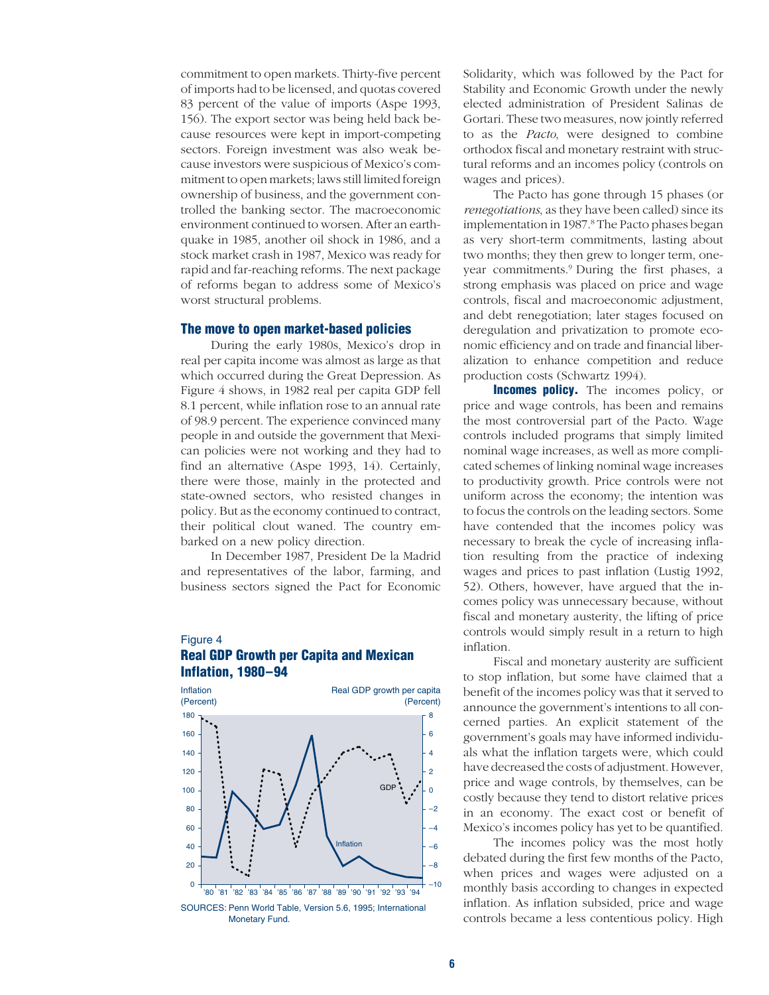commitment to open markets. Thirty-five percent of imports had to be licensed, and quotas covered 83 percent of the value of imports (Aspe 1993, 156). The export sector was being held back because resources were kept in import-competing sectors. Foreign investment was also weak because investors were suspicious of Mexico's commitment to open markets; laws still limited foreign ownership of business, and the government controlled the banking sector. The macroeconomic environment continued to worsen. After an earthquake in 1985, another oil shock in 1986, and a stock market crash in 1987, Mexico was ready for rapid and far-reaching reforms. The next package of reforms began to address some of Mexico's worst structural problems.

#### **The move to open market-based policies**

During the early 1980s, Mexico's drop in real per capita income was almost as large as that which occurred during the Great Depression. As Figure 4 shows, in 1982 real per capita GDP fell 8.1 percent, while inflation rose to an annual rate of 98.9 percent. The experience convinced many people in and outside the government that Mexican policies were not working and they had to find an alternative (Aspe 1993, 14). Certainly, there were those, mainly in the protected and state-owned sectors, who resisted changes in policy. But as the economy continued to contract, their political clout waned. The country embarked on a new policy direction.

In December 1987, President De la Madrid and representatives of the labor, farming, and business sectors signed the Pact for Economic

## Figure 4 **Real GDP Growth per Capita and Mexican Inflation, 1980–94**



Solidarity, which was followed by the Pact for Stability and Economic Growth under the newly elected administration of President Salinas de Gortari. These two measures, now jointly referred to as the *Pacto*, were designed to combine orthodox fiscal and monetary restraint with structural reforms and an incomes policy (controls on wages and prices).

The Pacto has gone through 15 phases (or *renegotiations*, as they have been called) since its implementation in 1987.<sup>8</sup> The Pacto phases began as very short-term commitments, lasting about two months; they then grew to longer term, oneyear commitments.9 During the first phases, a strong emphasis was placed on price and wage controls, fiscal and macroeconomic adjustment, and debt renegotiation; later stages focused on deregulation and privatization to promote economic efficiency and on trade and financial liberalization to enhance competition and reduce production costs (Schwartz 1994).

**Incomes policy.** The incomes policy, or price and wage controls, has been and remains the most controversial part of the Pacto. Wage controls included programs that simply limited nominal wage increases, as well as more complicated schemes of linking nominal wage increases to productivity growth. Price controls were not uniform across the economy; the intention was to focus the controls on the leading sectors. Some have contended that the incomes policy was necessary to break the cycle of increasing inflation resulting from the practice of indexing wages and prices to past inflation (Lustig 1992, 52). Others, however, have argued that the incomes policy was unnecessary because, without fiscal and monetary austerity, the lifting of price controls would simply result in a return to high inflation.

Fiscal and monetary austerity are sufficient to stop inflation, but some have claimed that a benefit of the incomes policy was that it served to announce the government's intentions to all concerned parties. An explicit statement of the government's goals may have informed individuals what the inflation targets were, which could have decreased the costs of adjustment. However, price and wage controls, by themselves, can be costly because they tend to distort relative prices in an economy. The exact cost or benefit of Mexico's incomes policy has yet to be quantified.

The incomes policy was the most hotly debated during the first few months of the Pacto, when prices and wages were adjusted on a monthly basis according to changes in expected inflation. As inflation subsided, price and wage controls became a less contentious policy. High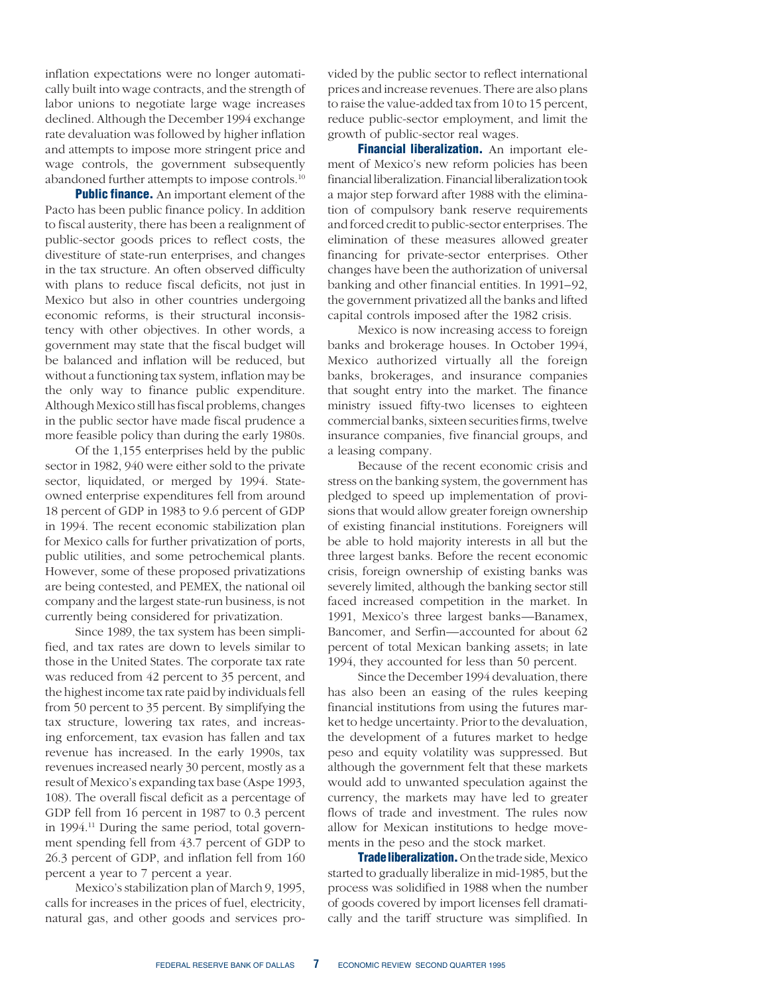inflation expectations were no longer automatically built into wage contracts, and the strength of labor unions to negotiate large wage increases declined. Although the December 1994 exchange rate devaluation was followed by higher inflation and attempts to impose more stringent price and wage controls, the government subsequently abandoned further attempts to impose controls.10

**Public finance.** An important element of the Pacto has been public finance policy. In addition to fiscal austerity, there has been a realignment of public-sector goods prices to reflect costs, the divestiture of state-run enterprises, and changes in the tax structure. An often observed difficulty with plans to reduce fiscal deficits, not just in Mexico but also in other countries undergoing economic reforms, is their structural inconsistency with other objectives. In other words, a government may state that the fiscal budget will be balanced and inflation will be reduced, but without a functioning tax system, inflation may be the only way to finance public expenditure. Although Mexico still has fiscal problems, changes in the public sector have made fiscal prudence a more feasible policy than during the early 1980s.

Of the 1,155 enterprises held by the public sector in 1982, 940 were either sold to the private sector, liquidated, or merged by 1994. Stateowned enterprise expenditures fell from around 18 percent of GDP in 1983 to 9.6 percent of GDP in 1994. The recent economic stabilization plan for Mexico calls for further privatization of ports, public utilities, and some petrochemical plants. However, some of these proposed privatizations are being contested, and PEMEX, the national oil company and the largest state-run business, is not currently being considered for privatization.

Since 1989, the tax system has been simplified, and tax rates are down to levels similar to those in the United States. The corporate tax rate was reduced from 42 percent to 35 percent, and the highest income tax rate paid by individuals fell from 50 percent to 35 percent. By simplifying the tax structure, lowering tax rates, and increasing enforcement, tax evasion has fallen and tax revenue has increased. In the early 1990s, tax revenues increased nearly 30 percent, mostly as a result of Mexico's expanding tax base (Aspe 1993, 108). The overall fiscal deficit as a percentage of GDP fell from 16 percent in 1987 to 0.3 percent in 1994.<sup>11</sup> During the same period, total government spending fell from 43.7 percent of GDP to 26.3 percent of GDP, and inflation fell from 160 percent a year to 7 percent a year.

Mexico's stabilization plan of March 9, 1995, calls for increases in the prices of fuel, electricity, natural gas, and other goods and services provided by the public sector to reflect international prices and increase revenues. There are also plans to raise the value-added tax from 10 to 15 percent, reduce public-sector employment, and limit the growth of public-sector real wages.

**Financial liberalization.** An important element of Mexico's new reform policies has been financial liberalization. Financial liberalization took a major step forward after 1988 with the elimination of compulsory bank reserve requirements and forced credit to public-sector enterprises. The elimination of these measures allowed greater financing for private-sector enterprises. Other changes have been the authorization of universal banking and other financial entities. In 1991–92, the government privatized all the banks and lifted capital controls imposed after the 1982 crisis.

Mexico is now increasing access to foreign banks and brokerage houses. In October 1994, Mexico authorized virtually all the foreign banks, brokerages, and insurance companies that sought entry into the market. The finance ministry issued fifty-two licenses to eighteen commercial banks, sixteen securities firms, twelve insurance companies, five financial groups, and a leasing company.

Because of the recent economic crisis and stress on the banking system, the government has pledged to speed up implementation of provisions that would allow greater foreign ownership of existing financial institutions. Foreigners will be able to hold majority interests in all but the three largest banks. Before the recent economic crisis, foreign ownership of existing banks was severely limited, although the banking sector still faced increased competition in the market. In 1991, Mexico's three largest banks—Banamex, Bancomer, and Serfin—accounted for about 62 percent of total Mexican banking assets; in late 1994, they accounted for less than 50 percent.

Since the December 1994 devaluation, there has also been an easing of the rules keeping financial institutions from using the futures market to hedge uncertainty. Prior to the devaluation, the development of a futures market to hedge peso and equity volatility was suppressed. But although the government felt that these markets would add to unwanted speculation against the currency, the markets may have led to greater flows of trade and investment. The rules now allow for Mexican institutions to hedge movements in the peso and the stock market.

**Trade liberalization.** On the trade side, Mexico started to gradually liberalize in mid-1985, but the process was solidified in 1988 when the number of goods covered by import licenses fell dramatically and the tariff structure was simplified. In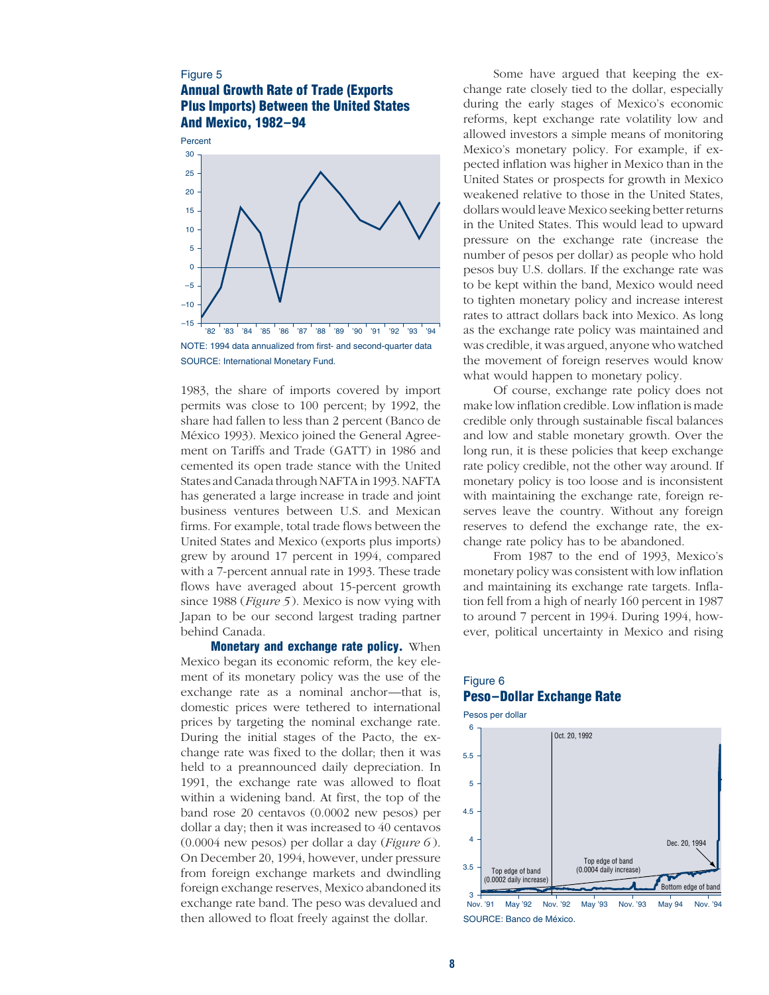# Figure 5 **Annual Growth Rate of Trade (Exports Plus Imports) Between the United States And Mexico, 1982–94**



1983, the share of imports covered by import permits was close to 100 percent; by 1992, the share had fallen to less than 2 percent (Banco de México 1993). Mexico joined the General Agreement on Tariffs and Trade (GATT) in 1986 and cemented its open trade stance with the United States and Canada through NAFTA in 1993. NAFTA has generated a large increase in trade and joint business ventures between U.S. and Mexican firms. For example, total trade flows between the United States and Mexico (exports plus imports) grew by around 17 percent in 1994, compared with a 7-percent annual rate in 1993. These trade flows have averaged about 15-percent growth since 1988 (*Figure 5* ). Mexico is now vying with Japan to be our second largest trading partner behind Canada.

**Monetary and exchange rate policy.** When Mexico began its economic reform, the key element of its monetary policy was the use of the exchange rate as a nominal anchor—that is, domestic prices were tethered to international prices by targeting the nominal exchange rate. During the initial stages of the Pacto, the exchange rate was fixed to the dollar; then it was held to a preannounced daily depreciation. In 1991, the exchange rate was allowed to float within a widening band. At first, the top of the band rose 20 centavos (0.0002 new pesos) per dollar a day; then it was increased to 40 centavos (0.0004 new pesos) per dollar a day (*Figure 6* ). On December 20, 1994, however, under pressure from foreign exchange markets and dwindling foreign exchange reserves, Mexico abandoned its exchange rate band. The peso was devalued and then allowed to float freely against the dollar.

Some have argued that keeping the exchange rate closely tied to the dollar, especially during the early stages of Mexico's economic reforms, kept exchange rate volatility low and allowed investors a simple means of monitoring Mexico's monetary policy. For example, if expected inflation was higher in Mexico than in the United States or prospects for growth in Mexico weakened relative to those in the United States, dollars would leave Mexico seeking better returns in the United States. This would lead to upward pressure on the exchange rate (increase the number of pesos per dollar) as people who hold pesos buy U.S. dollars. If the exchange rate was to be kept within the band, Mexico would need to tighten monetary policy and increase interest rates to attract dollars back into Mexico. As long as the exchange rate policy was maintained and was credible, it was argued, anyone who watched the movement of foreign reserves would know what would happen to monetary policy.

Of course, exchange rate policy does not make low inflation credible. Low inflation is made credible only through sustainable fiscal balances and low and stable monetary growth. Over the long run, it is these policies that keep exchange rate policy credible, not the other way around. If monetary policy is too loose and is inconsistent with maintaining the exchange rate, foreign reserves leave the country. Without any foreign reserves to defend the exchange rate, the exchange rate policy has to be abandoned.

From 1987 to the end of 1993, Mexico's monetary policy was consistent with low inflation and maintaining its exchange rate targets. Inflation fell from a high of nearly 160 percent in 1987 to around 7 percent in 1994. During 1994, however, political uncertainty in Mexico and rising

# Figure 6 **Peso–Dollar Exchange Rate**



SOURCE: Banco de México.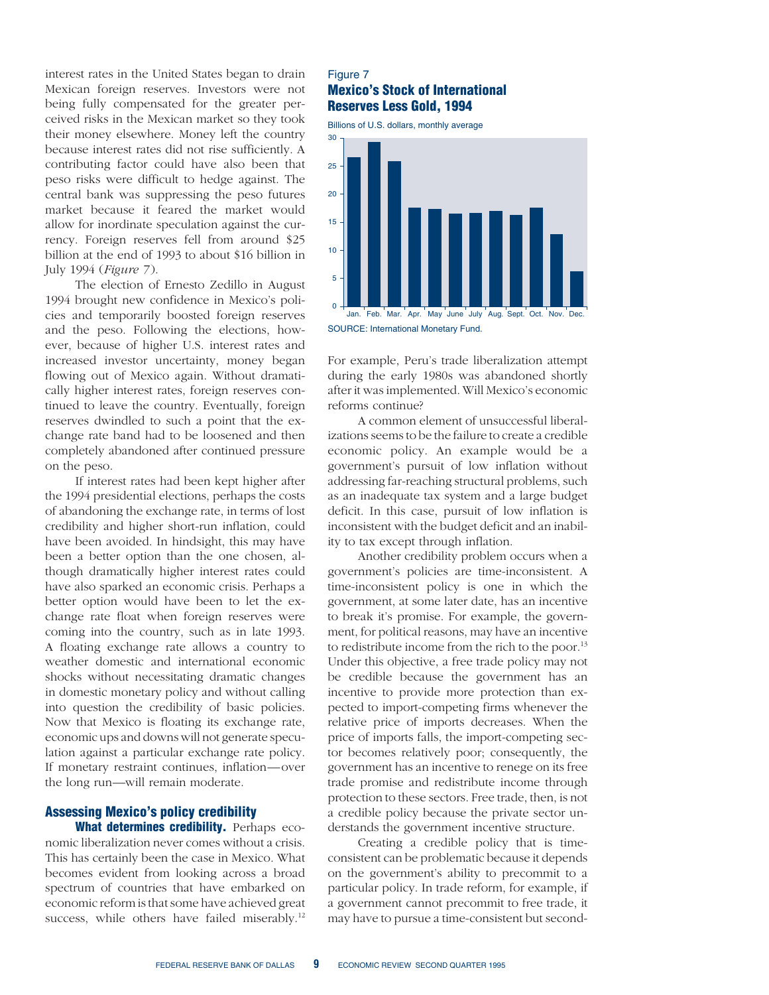interest rates in the United States began to drain Mexican foreign reserves. Investors were not being fully compensated for the greater perceived risks in the Mexican market so they took their money elsewhere. Money left the country because interest rates did not rise sufficiently. A contributing factor could have also been that peso risks were difficult to hedge against. The central bank was suppressing the peso futures market because it feared the market would allow for inordinate speculation against the currency. Foreign reserves fell from around \$25 billion at the end of 1993 to about \$16 billion in July 1994 (*Figure 7* ).

The election of Ernesto Zedillo in August 1994 brought new confidence in Mexico's policies and temporarily boosted foreign reserves and the peso. Following the elections, however, because of higher U.S. interest rates and increased investor uncertainty, money began flowing out of Mexico again. Without dramatically higher interest rates, foreign reserves continued to leave the country. Eventually, foreign reserves dwindled to such a point that the exchange rate band had to be loosened and then completely abandoned after continued pressure on the peso.

If interest rates had been kept higher after the 1994 presidential elections, perhaps the costs of abandoning the exchange rate, in terms of lost credibility and higher short-run inflation, could have been avoided. In hindsight, this may have been a better option than the one chosen, although dramatically higher interest rates could have also sparked an economic crisis. Perhaps a better option would have been to let the exchange rate float when foreign reserves were coming into the country, such as in late 1993. A floating exchange rate allows a country to weather domestic and international economic shocks without necessitating dramatic changes in domestic monetary policy and without calling into question the credibility of basic policies. Now that Mexico is floating its exchange rate, economic ups and downs will not generate speculation against a particular exchange rate policy. If monetary restraint continues, inflation—over the long run—will remain moderate.

# **Assessing Mexico's policy credibility**

**What determines credibility.** Perhaps economic liberalization never comes without a crisis. This has certainly been the case in Mexico. What becomes evident from looking across a broad spectrum of countries that have embarked on economic reform is that some have achieved great success, while others have failed miserably.<sup>12</sup>

# Figure 7 **Mexico's Stock of International Reserves Less Gold, 1994**

Billions of U.S. dollars, monthly average



For example, Peru's trade liberalization attempt during the early 1980s was abandoned shortly after it was implemented. Will Mexico's economic reforms continue?

A common element of unsuccessful liberalizations seems to be the failure to create a credible economic policy. An example would be a government's pursuit of low inflation without addressing far-reaching structural problems, such as an inadequate tax system and a large budget deficit. In this case, pursuit of low inflation is inconsistent with the budget deficit and an inability to tax except through inflation.

Another credibility problem occurs when a government's policies are time-inconsistent. A time-inconsistent policy is one in which the government, at some later date, has an incentive to break it's promise. For example, the government, for political reasons, may have an incentive to redistribute income from the rich to the poor.<sup>13</sup> Under this objective, a free trade policy may not be credible because the government has an incentive to provide more protection than expected to import-competing firms whenever the relative price of imports decreases. When the price of imports falls, the import-competing sector becomes relatively poor; consequently, the government has an incentive to renege on its free trade promise and redistribute income through protection to these sectors. Free trade, then, is not a credible policy because the private sector understands the government incentive structure.

Creating a credible policy that is timeconsistent can be problematic because it depends on the government's ability to precommit to a particular policy. In trade reform, for example, if a government cannot precommit to free trade, it may have to pursue a time-consistent but second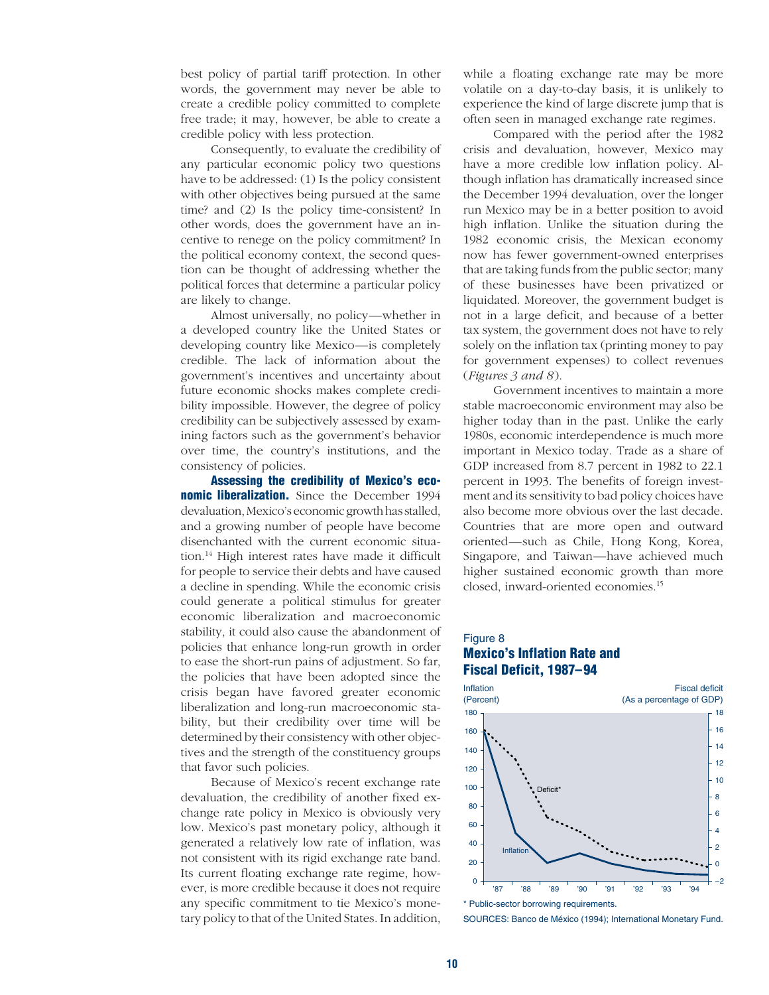best policy of partial tariff protection. In other words, the government may never be able to create a credible policy committed to complete free trade; it may, however, be able to create a credible policy with less protection.

Consequently, to evaluate the credibility of any particular economic policy two questions have to be addressed: (1) Is the policy consistent with other objectives being pursued at the same time? and (2) Is the policy time-consistent? In other words, does the government have an incentive to renege on the policy commitment? In the political economy context, the second question can be thought of addressing whether the political forces that determine a particular policy are likely to change.

Almost universally, no policy—whether in a developed country like the United States or developing country like Mexico—is completely credible. The lack of information about the government's incentives and uncertainty about future economic shocks makes complete credibility impossible. However, the degree of policy credibility can be subjectively assessed by examining factors such as the government's behavior over time, the country's institutions, and the consistency of policies.

**Assessing the credibility of Mexico's economic liberalization.** Since the December 1994 devaluation, Mexico's economic growth has stalled, and a growing number of people have become disenchanted with the current economic situation.14 High interest rates have made it difficult for people to service their debts and have caused a decline in spending. While the economic crisis could generate a political stimulus for greater economic liberalization and macroeconomic stability, it could also cause the abandonment of policies that enhance long-run growth in order to ease the short-run pains of adjustment. So far, the policies that have been adopted since the crisis began have favored greater economic liberalization and long-run macroeconomic stability, but their credibility over time will be determined by their consistency with other objectives and the strength of the constituency groups that favor such policies.

Because of Mexico's recent exchange rate devaluation, the credibility of another fixed exchange rate policy in Mexico is obviously very low. Mexico's past monetary policy, although it generated a relatively low rate of inflation, was not consistent with its rigid exchange rate band. Its current floating exchange rate regime, however, is more credible because it does not require any specific commitment to tie Mexico's monetary policy to that of the United States. In addition,

while a floating exchange rate may be more volatile on a day-to-day basis, it is unlikely to experience the kind of large discrete jump that is often seen in managed exchange rate regimes.

Compared with the period after the 1982 crisis and devaluation, however, Mexico may have a more credible low inflation policy. Although inflation has dramatically increased since the December 1994 devaluation, over the longer run Mexico may be in a better position to avoid high inflation. Unlike the situation during the 1982 economic crisis, the Mexican economy now has fewer government-owned enterprises that are taking funds from the public sector; many of these businesses have been privatized or liquidated. Moreover, the government budget is not in a large deficit, and because of a better tax system, the government does not have to rely solely on the inflation tax (printing money to pay for government expenses) to collect revenues (*Figures 3 and 8* ).

Government incentives to maintain a more stable macroeconomic environment may also be higher today than in the past. Unlike the early 1980s, economic interdependence is much more important in Mexico today. Trade as a share of GDP increased from 8.7 percent in 1982 to 22.1 percent in 1993. The benefits of foreign investment and its sensitivity to bad policy choices have also become more obvious over the last decade. Countries that are more open and outward oriented—such as Chile, Hong Kong, Korea, Singapore, and Taiwan—have achieved much higher sustained economic growth than more closed, inward-oriented economies.15

# Figure 8 **Mexico's Inflation Rate and Fiscal Deficit, 1987–94**



<sup>\*</sup> Public-sector borrowing requirements.

SOURCES: Banco de México (1994); International Monetary Fund.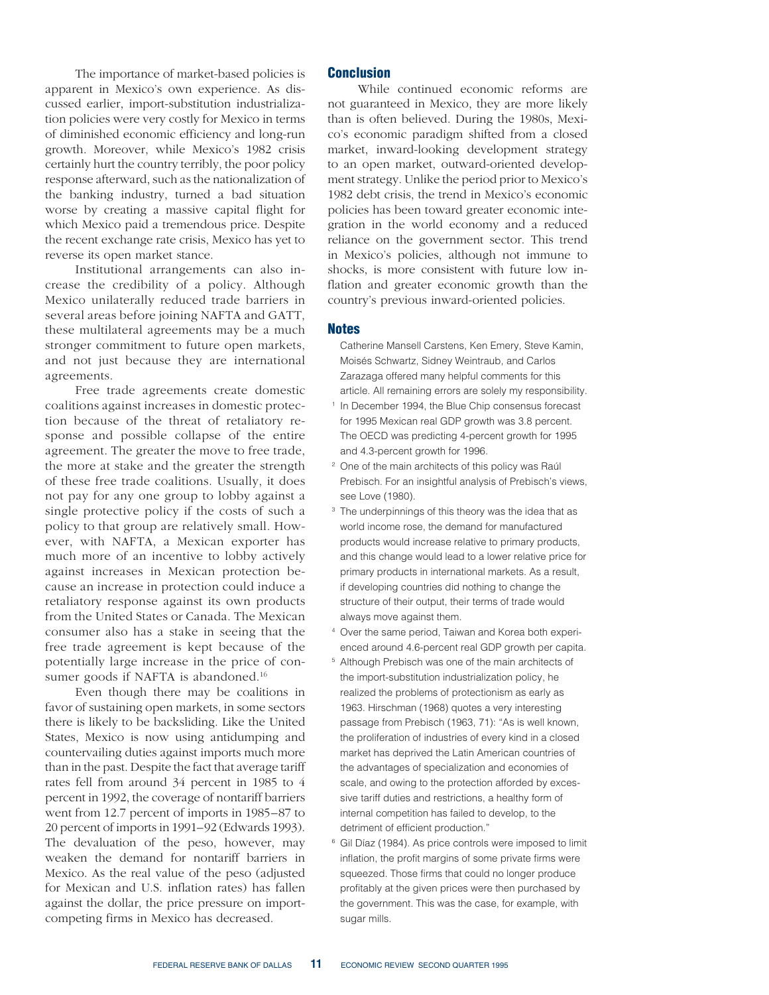The importance of market-based policies is apparent in Mexico's own experience. As discussed earlier, import-substitution industrialization policies were very costly for Mexico in terms of diminished economic efficiency and long-run growth. Moreover, while Mexico's 1982 crisis certainly hurt the country terribly, the poor policy response afterward, such as the nationalization of the banking industry, turned a bad situation worse by creating a massive capital flight for which Mexico paid a tremendous price. Despite the recent exchange rate crisis, Mexico has yet to reverse its open market stance.

Institutional arrangements can also increase the credibility of a policy. Although Mexico unilaterally reduced trade barriers in several areas before joining NAFTA and GATT, these multilateral agreements may be a much stronger commitment to future open markets, and not just because they are international agreements.

Free trade agreements create domestic coalitions against increases in domestic protection because of the threat of retaliatory response and possible collapse of the entire agreement. The greater the move to free trade, the more at stake and the greater the strength of these free trade coalitions. Usually, it does not pay for any one group to lobby against a single protective policy if the costs of such a policy to that group are relatively small. However, with NAFTA, a Mexican exporter has much more of an incentive to lobby actively against increases in Mexican protection because an increase in protection could induce a retaliatory response against its own products from the United States or Canada. The Mexican consumer also has a stake in seeing that the free trade agreement is kept because of the potentially large increase in the price of consumer goods if NAFTA is abandoned.<sup>16</sup>

Even though there may be coalitions in favor of sustaining open markets, in some sectors there is likely to be backsliding. Like the United States, Mexico is now using antidumping and countervailing duties against imports much more than in the past. Despite the fact that average tariff rates fell from around 34 percent in 1985 to 4 percent in 1992, the coverage of nontariff barriers went from 12.7 percent of imports in 1985–87 to 20 percent of imports in 1991–92 (Edwards 1993). The devaluation of the peso, however, may weaken the demand for nontariff barriers in Mexico. As the real value of the peso (adjusted for Mexican and U.S. inflation rates) has fallen against the dollar, the price pressure on importcompeting firms in Mexico has decreased.

## **Conclusion**

While continued economic reforms are not guaranteed in Mexico, they are more likely than is often believed. During the 1980s, Mexico's economic paradigm shifted from a closed market, inward-looking development strategy to an open market, outward-oriented development strategy. Unlike the period prior to Mexico's 1982 debt crisis, the trend in Mexico's economic policies has been toward greater economic integration in the world economy and a reduced reliance on the government sector. This trend in Mexico's policies, although not immune to shocks, is more consistent with future low inflation and greater economic growth than the country's previous inward-oriented policies.

#### **Notes**

- Catherine Mansell Carstens, Ken Emery, Steve Kamin, Moisés Schwartz, Sidney Weintraub, and Carlos Zarazaga offered many helpful comments for this article. All remaining errors are solely my responsibility.
- <sup>1</sup> In December 1994, the Blue Chip consensus forecast for 1995 Mexican real GDP growth was 3.8 percent. The OECD was predicting 4-percent growth for 1995 and 4.3-percent growth for 1996.
- <sup>2</sup> One of the main architects of this policy was Raúl Prebisch. For an insightful analysis of Prebisch's views, see Love (1980).
- <sup>3</sup> The underpinnings of this theory was the idea that as world income rose, the demand for manufactured products would increase relative to primary products, and this change would lead to a lower relative price for primary products in international markets. As a result, if developing countries did nothing to change the structure of their output, their terms of trade would always move against them.
- <sup>4</sup> Over the same period, Taiwan and Korea both experienced around 4.6-percent real GDP growth per capita.
- <sup>5</sup> Although Prebisch was one of the main architects of the import-substitution industrialization policy, he realized the problems of protectionism as early as 1963. Hirschman (1968) quotes a very interesting passage from Prebisch (1963, 71): "As is well known, the proliferation of industries of every kind in a closed market has deprived the Latin American countries of the advantages of specialization and economies of scale, and owing to the protection afforded by excessive tariff duties and restrictions, a healthy form of internal competition has failed to develop, to the detriment of efficient production."
- <sup>6</sup> Gil Díaz (1984). As price controls were imposed to limit inflation, the profit margins of some private firms were squeezed. Those firms that could no longer produce profitably at the given prices were then purchased by the government. This was the case, for example, with sugar mills.